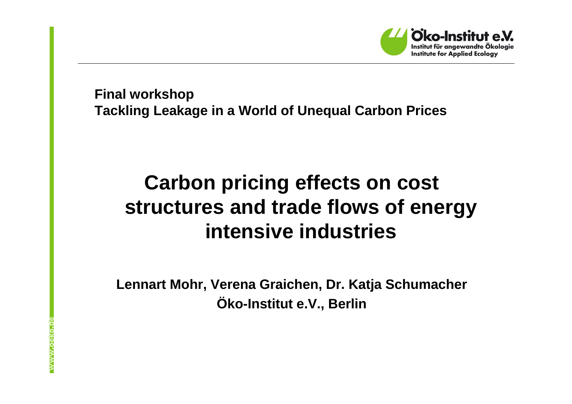

**Final workshopTackling Leakage in a World of Unequal Carbon Prices**

# **Carbon pricing effects on cost structures and trade flows of energy intensive industries**

**Lennart Mohr, Verena Graichen, Dr. Katja SchumacherÖko-Institut e.V., Berlin**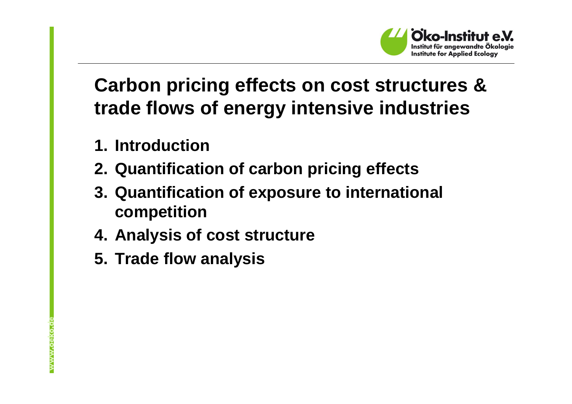

## **Carbon pricing effects on cost structures & trade flows of energy intensive industries**

- **1. Introduction**
- **2. Quantification of carbon pricing effects**
- **3. Quantification of exposure to international competition**
- **4. Analysis of cost structure**
- **5. Trade flow analysis**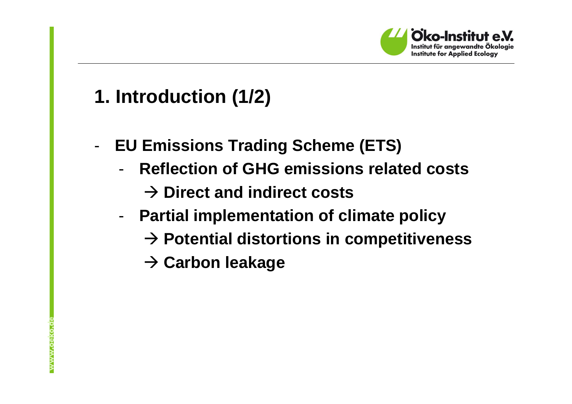

#### **1. Introduction (1/2)**

- - **EU Emissions Trading Scheme (ETS)**
	- - **Reflection of GHG emissions related costs**
		- **Direct and indirect costs**
	- - **Partial implementation of climate policy**
		- **Potential distortions in competitiveness**
		- **→ Carbon leakage**

www.oeko.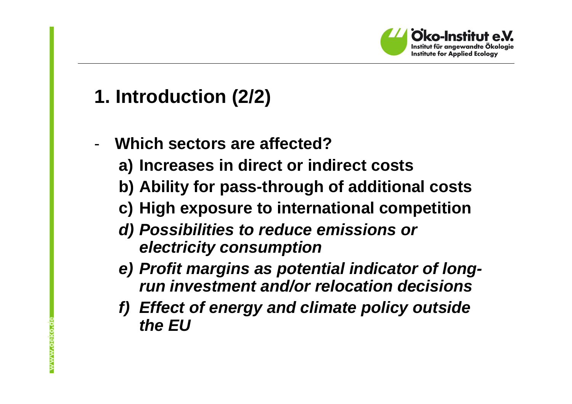

#### **1. Introduction (2/2)**

- - **Which sectors are affected?**
	- **a) Increases in direct or indirect costs**
	- **b) Ability for pass-through of additional costs**
	- **c) High exposure to international competition**
	- **d) Possibilities to reduce emissions or electricity consumption**
	- **e) Profit margins as potential indicator of longrun investment and/or relocation decisions**
	- **f) Effect of energy and climate policy outside the EU**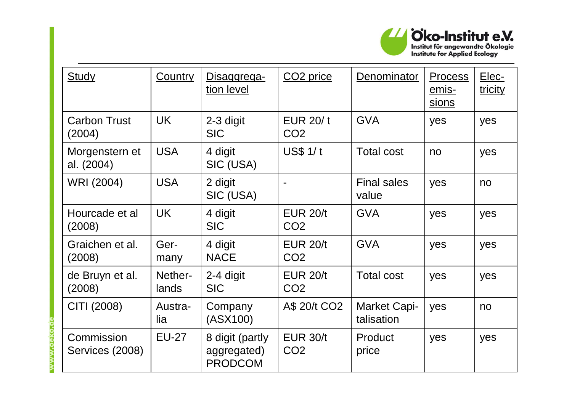

| <b>Study</b>                  | <b>Country</b>   | Disaggrega-<br>tion level                        | CO <sub>2</sub> price              | <b>Denominator</b>          | <b>Process</b><br>emis-<br>sions | Elec-<br>tricity |
|-------------------------------|------------------|--------------------------------------------------|------------------------------------|-----------------------------|----------------------------------|------------------|
| <b>Carbon Trust</b><br>(2004) | <b>UK</b>        | 2-3 digit<br><b>SIC</b>                          | EUR 20/t<br>CO <sub>2</sub>        | <b>GVA</b>                  | yes                              | yes              |
| Morgenstern et<br>al. (2004)  | <b>USA</b>       | 4 digit<br>SIC (USA)                             | $US$$ 1/t                          | <b>Total cost</b>           | no                               | yes              |
| WRI (2004)                    | <b>USA</b>       | 2 digit<br>SIC (USA)                             |                                    | <b>Final sales</b><br>value | yes                              | no               |
| Hourcade et al<br>(2008)      | <b>UK</b>        | 4 digit<br><b>SIC</b>                            | <b>EUR 20/t</b><br>CO <sub>2</sub> | <b>GVA</b>                  | yes                              | yes              |
| Graichen et al.<br>(2008)     | Ger-<br>many     | 4 digit<br><b>NACE</b>                           | <b>EUR 20/t</b><br>CO <sub>2</sub> | <b>GVA</b>                  | yes                              | yes              |
| de Bruyn et al.<br>(2008)     | Nether-<br>lands | 2-4 digit<br><b>SIC</b>                          | <b>EUR 20/t</b><br>CO <sub>2</sub> | <b>Total cost</b>           | yes                              | yes              |
| CITI (2008)                   | Austra-<br>lia   | Company<br>(ASX100)                              | A\$ 20/t CO2                       | Market Capi-<br>talisation  | yes                              | no               |
| Commission<br>Services (2008) | <b>EU-27</b>     | 8 digit (partly<br>aggregated)<br><b>PRODCOM</b> | <b>EUR 30/t</b><br>CO <sub>2</sub> | Product<br>price            | yes                              | yes              |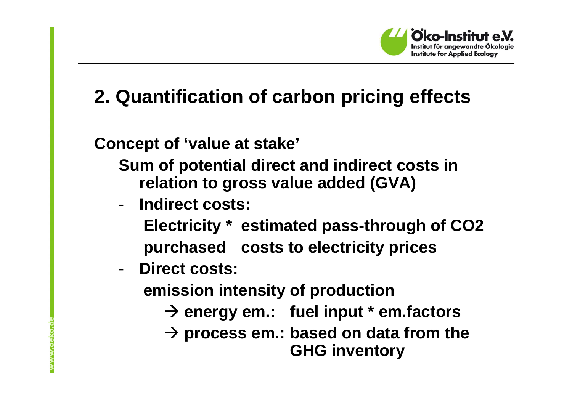

## **2. Quantification of carbon pricing effects**

**Concept of 'value at stake'**

**Sum of potential direct and indirect costs in relation to gross value added (GVA)**

-**Indirect costs:**

> **Electricity \* estimated pass-through of CO2purchased costs to electricity prices**

-**Direct costs:**

**emission intensity of production**

- **energy em.: fuel input \* em.factors**
- **process em.: based on data from the GHG inventory**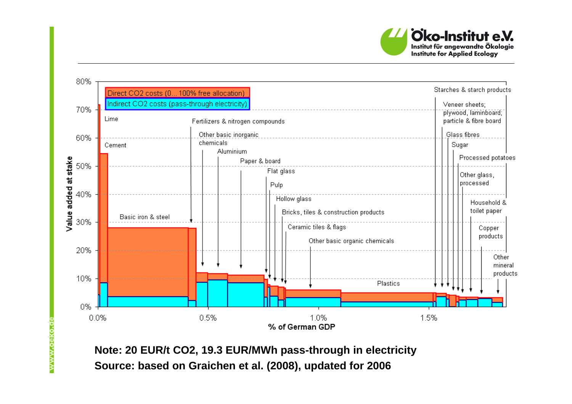



**Note: 20 EUR/t CO2, 19.3 EUR/MWh pass-through in electricitySource: based on Graichen et al. (2008), updated for 2006**

www.oeko.o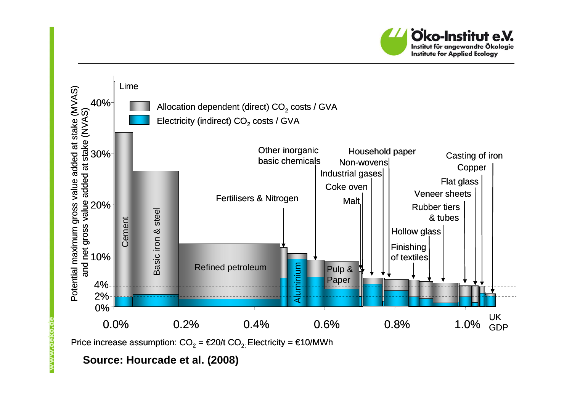



**Source: Hourcade et al. (2008)**

www.oeko.o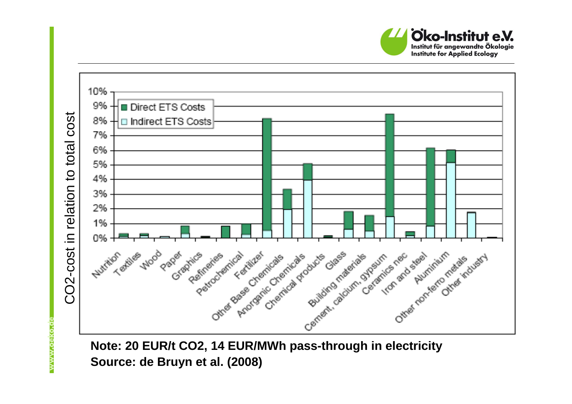



**Source: de Bruyn et al. (2008)**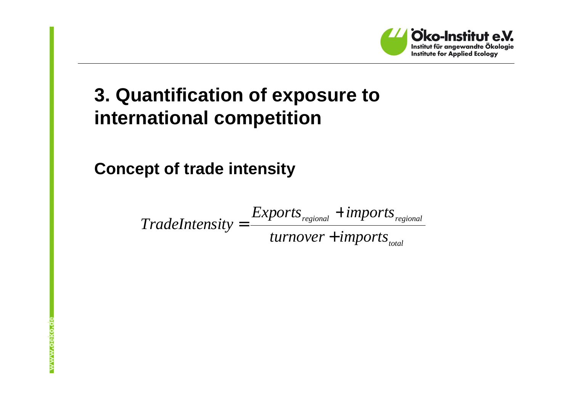

## **3. Quantification of exposure to international competition**

**Concept of trade intensity**

*totalregional regional turnover imports FradeIntensity* =  $\frac{Exports_{\mathit{regional}} + \mathit{imports}}{\mathit{turnover} + \mathit{imports}}$ +=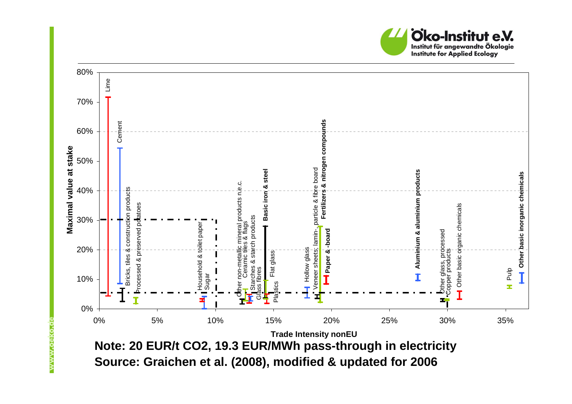



**Source: Graichen et al. (2008), modified & updated for 2006**

www.oeko.c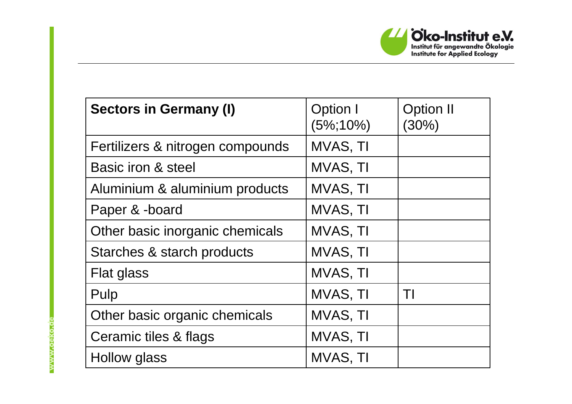

| <b>Sectors in Germany (I)</b>    | Option I<br>$(5\%;10\%)$ | <b>Option II</b><br>$(30\%)$ |
|----------------------------------|--------------------------|------------------------------|
| Fertilizers & nitrogen compounds | MVAS, TI                 |                              |
| Basic iron & steel               | MVAS, TI                 |                              |
| Aluminium & aluminium products   | MVAS, TI                 |                              |
| Paper & -board                   | MVAS, TI                 |                              |
| Other basic inorganic chemicals  | MVAS, TI                 |                              |
| Starches & starch products       | MVAS, TI                 |                              |
| Flat glass                       | MVAS, TI                 |                              |
| Pulp                             | MVAS, TI                 | TΙ                           |
| Other basic organic chemicals    | MVAS, TI                 |                              |
| Ceramic tiles & flags            | MVAS, TI                 |                              |
| Hollow glass                     | MVAS, TI                 |                              |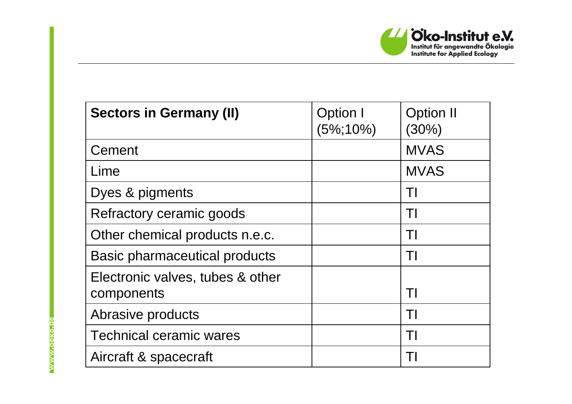

| <b>Sectors in Germany (II)</b>                 | Option I<br>$(5\%;10\%)$ | <b>Option II</b><br>(30%) |
|------------------------------------------------|--------------------------|---------------------------|
| Cement                                         |                          | <b>MVAS</b>               |
| Lime                                           |                          | <b>MVAS</b>               |
| Dyes & pigments                                |                          | TI                        |
| Refractory ceramic goods                       |                          | TI                        |
| Other chemical products n.e.c.                 |                          | TI                        |
| <b>Basic pharmaceutical products</b>           |                          |                           |
| Electronic valves, tubes & other<br>components |                          | TI                        |
| Abrasive products                              |                          | TI                        |
| <b>Technical ceramic wares</b>                 |                          | T                         |
| Aircraft & spacecraft                          |                          |                           |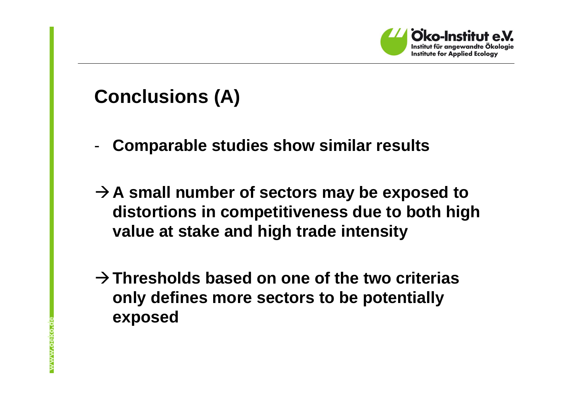

#### **Conclusions (A)**

- -**Comparable studies show similar results**
- **A small number of sectors may be exposed to distortions in competitiveness due to both high value at stake and high trade intensity**
- **Thresholds based on one of the two criteriasonly defines more sectors to be potentially exposed**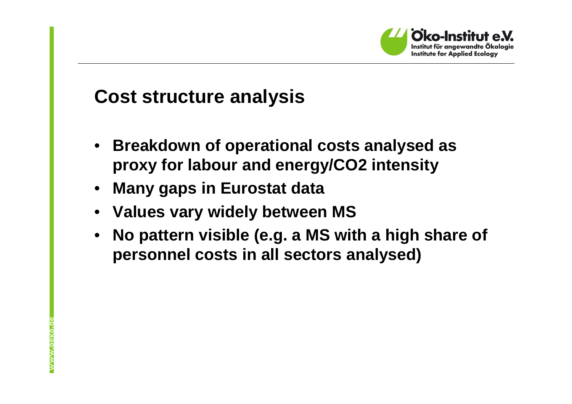

#### **Cost structure analysis**

- $\bullet$  **Breakdown of operational costs analysed as proxy for labour and energy/CO2 intensity**
- $\bullet$ **Many gaps in Eurostat data**
- **Values vary widely between MS**
- **No pattern visible (e.g. a MS with a high share of**  •**personnel costs in all sectors analysed)**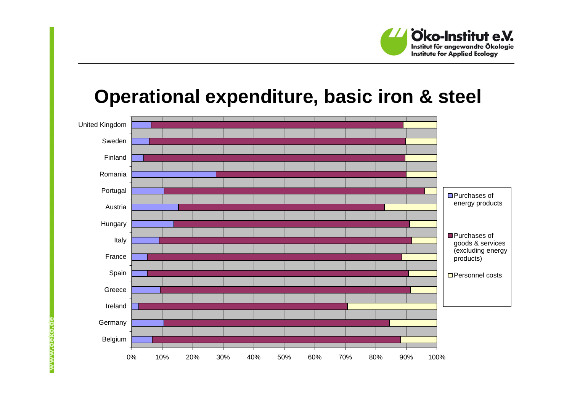

#### **Operational expenditure, basic iron & steel**

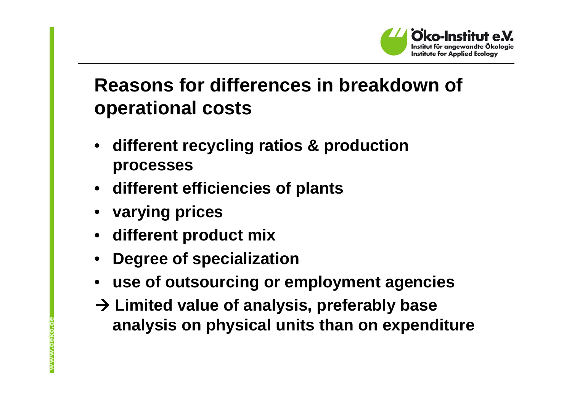

#### **Reasons for differences in breakdown of operational costs**

- • **different recycling ratios & production processes**
- **different efficiencies of plants**
- •**varying prices**
- **different product mix**
- •**Degree of specialization**
- **use of outsourcing or employment agencies**
- **Limited value of analysis, preferably base analysis on physical units than on expenditure**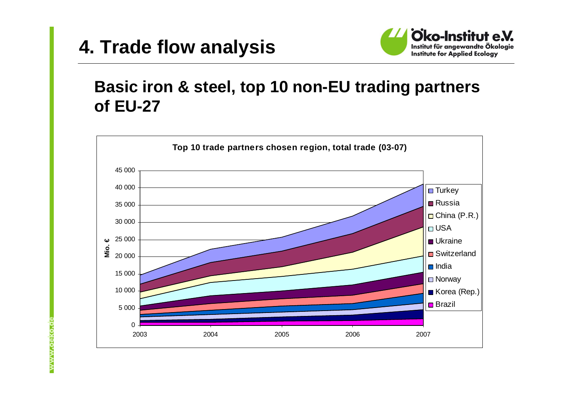#### **4. Trade flow analysis**



#### **Basic iron & steel, top 10 non-EU trading partners of EU-27**

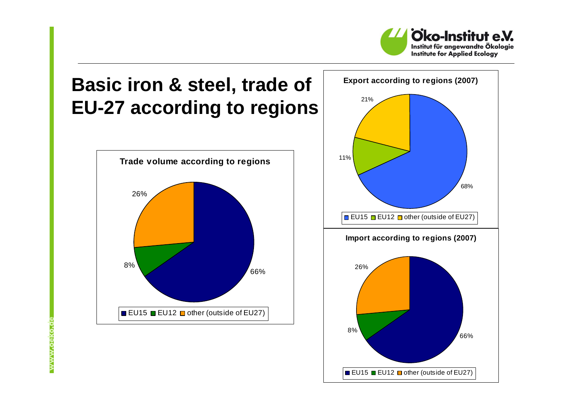

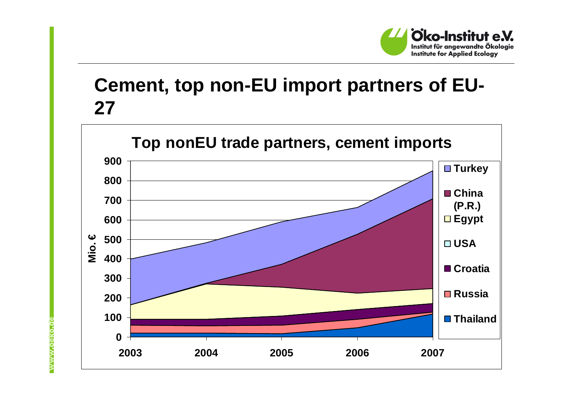

#### **Cement, top non-EU import partners of EU-27**

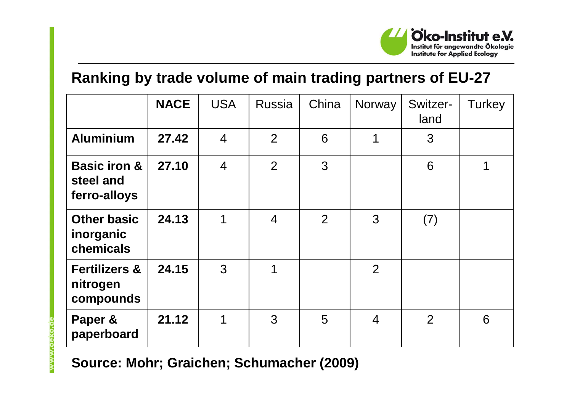

#### **Ranking by trade volume of main trading partners of EU-27**

|                                                      | <b>NACE</b> | <b>USA</b>     | <b>Russia</b>  | China | Norway         | Switzer-<br>land | Turkey |
|------------------------------------------------------|-------------|----------------|----------------|-------|----------------|------------------|--------|
| <b>Aluminium</b>                                     | 27.42       | $\overline{4}$ | $\overline{2}$ | 6     | 1              | 3                |        |
| <b>Basic iron &amp;</b><br>steel and<br>ferro-alloys | 27.10       | $\overline{4}$ | $\overline{2}$ | 3     |                | 6                | 1      |
| <b>Other basic</b><br>inorganic<br>chemicals         | 24.13       | 1              | $\overline{4}$ | 2     | 3              | (7)              |        |
| <b>Fertilizers &amp;</b><br>nitrogen<br>compounds    | 24.15       | 3              | 1              |       | $\overline{2}$ |                  |        |
| Paper &<br>paperboard                                | 21.12       | 1              | 3              | 5     | $\overline{4}$ | $\overline{2}$   | 6      |

**Source: Mohr; Graichen; Schumacher (2009)**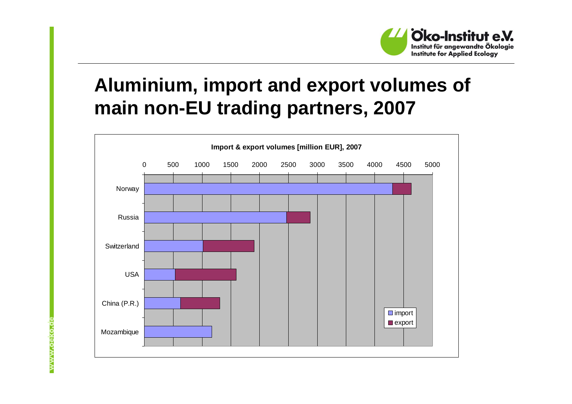

## **Aluminium, import and export volumes of main non-EU trading partners, 2007**

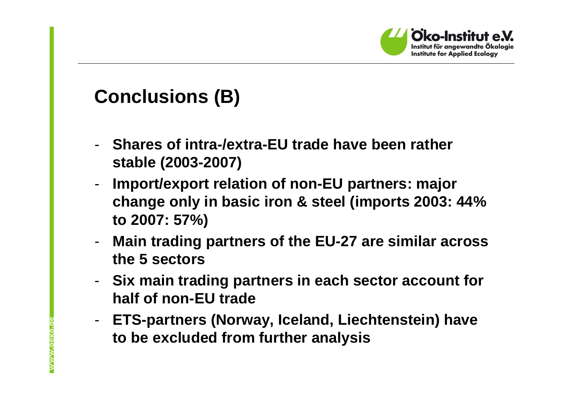

## **Conclusions (B)**

- **Shares of intra-/extra-EU trade have been rather stable (2003-2007)**
- - **Import/export relation of non-EU partners: major change only in basic iron & steel (imports 2003: 44% to 2007: 57%)**
- - **Main trading partners of the EU-27 are similar across the 5 sectors**
- - **Six main trading partners in each sector account for half of non-EU trade**
- **ETS-partners (Norway, Iceland, Liechtenstein) have to be excluded from further analysis**